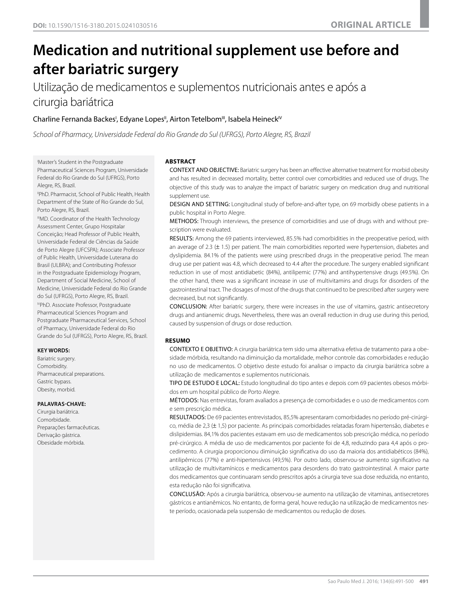# **Medication and nutritional supplement use before and after bariatric surgery**

Utilização de medicamentos e suplementos nutricionais antes e após a cirurgia bariátrica

# Charline Fernanda Backes', Edyane Lopes", Airton Tetelbom''', Isabela Heineck'<sup>v</sup>

*School of Pharmacy, Universidade Federal do Rio Grande do Sul (UFRGS), Porto Alegre, RS, Brazil*

I Master's Student in the Postgraduate

Pharmaceutical Sciences Program, Universidade Federal do Rio Grande do Sul (UFRGS), Porto Alegre, RS, Brazil.

"PhD. Pharmacist, School of Public Health, Health Department of the State of Rio Grande do Sul, Porto Alegre, RS, Brazil.

IIIMD. Coordinator of the Health Technology Assessment Center, Grupo Hospitalar Conceição; Head Professor of Public Health, Universidade Federal de Ciências da Saúde de Porto Alegre (UFCSPA); Associate Professor of Public Health, Universidade Luterana do Brasil (ULBRA); and Contributing Professor in the Postgraduate Epidemiology Program, Department of Social Medicine, School of Medicine, Universidade Federal do Rio Grande do Sul (UFRGS), Porto Alegre, RS, Brazil.

IVPhD. Associate Professor, Postgraduate Pharmaceutical Sciences Program and Postgraduate Pharmaceutical Services, School of Pharmacy, Universidade Federal do Rio Grande do Sul (UFRGS), Porto Alegre, RS, Brazil.

#### **KEY WORDS:**

Bariatric surgery. **Comorbidity** Pharmaceutical preparations. Gastric bypass. Obesity, morbid.

#### **PALAVRAS-CHAVE:**

Cirurgia bariátrica. Comorbidade. Preparações farmacêuticas. Derivação gástrica. Obesidade mórbida.

#### **ABSTRACT**

CONTEXT AND OBJECTIVE: Bariatric surgery has been an effective alternative treatment for morbid obesity and has resulted in decreased mortality, better control over comorbidities and reduced use of drugs. The objective of this study was to analyze the impact of bariatric surgery on medication drug and nutritional supplement use

DESIGN AND SETTING: Longitudinal study of before-and-after type, on 69 morbidly obese patients in a public hospital in Porto Alegre.

METHODS: Through interviews, the presence of comorbidities and use of drugs with and without prescription were evaluated.

RESULTS: Among the 69 patients interviewed, 85.5% had comorbidities in the preoperative period, with an average of 2.3 ( $\pm$  1.5) per patient. The main comorbidities reported were hypertension, diabetes and dyslipidemia. 84.1% of the patients were using prescribed drugs in the preoperative period. The mean drug use per patient was 4.8, which decreased to 4.4 after the procedure. The surgery enabled significant reduction in use of most antidiabetic (84%), antilipemic (77%) and antihypertensive drugs (49.5%). On the other hand, there was a significant increase in use of multivitamins and drugs for disorders of the gastrointestinal tract. The dosages of most of the drugs that continued to be prescribed after surgery were decreased, but not significantly.

CONCLUSION: After bariatric surgery, there were increases in the use of vitamins, gastric antisecretory drugs and antianemic drugs. Nevertheless, there was an overall reduction in drug use during this period, caused by suspension of drugs or dose reduction.

# **RESUMO**

CONTEXTO E OBJETIVO: A cirurgia bariátrica tem sido uma alternativa efetiva de tratamento para a obesidade mórbida, resultando na diminuição da mortalidade, melhor controle das comorbidades e redução no uso de medicamentos. O objetivo deste estudo foi analisar o impacto da cirurgia bariátrica sobre a utilização de medicamentos e suplementos nutricionais.

TIPO DE ESTUDO E LOCAL: Estudo longitudinal do tipo antes e depois com 69 pacientes obesos mórbidos em um hospital público de Porto Alegre.

MÉTODOS: Nas entrevistas, foram avaliados a presença de comorbidades e o uso de medicamentos com e sem prescrição médica.

RESULTADOS: De 69 pacientes entrevistados, 85,5% apresentaram comorbidades no período pré-cirúrgico, média de 2,3 (± 1,5) por paciente. As principais comorbidades relatadas foram hipertensão, diabetes e dislipidemias. 84,1% dos pacientes estavam em uso de medicamentos sob prescrição médica, no período pré-cirúrgico. A média de uso de medicamentos por paciente foi de 4,8, reduzindo para 4,4 após o procedimento. A cirurgia proporcionou diminuição significativa do uso da maioria dos antidiabéticos (84%), antilipêmicos (77%) e anti-hipertensivos (49,5%). Por outro lado, observou-se aumento significativo na utilização de multivitamínicos e medicamentos para desordens do trato gastrointestinal. A maior parte dos medicamentos que continuaram sendo prescritos após a cirurgia teve sua dose reduzida, no entanto, esta redução não foi significativa.

CONCLUSÃO: Após a cirurgia bariátrica, observou-se aumento na utilização de vitaminas, antisecretores gástricos e antianêmicos. No entanto, de forma geral, houve redução na utilização de medicamentos neste período, ocasionada pela suspensão de medicamentos ou redução de doses.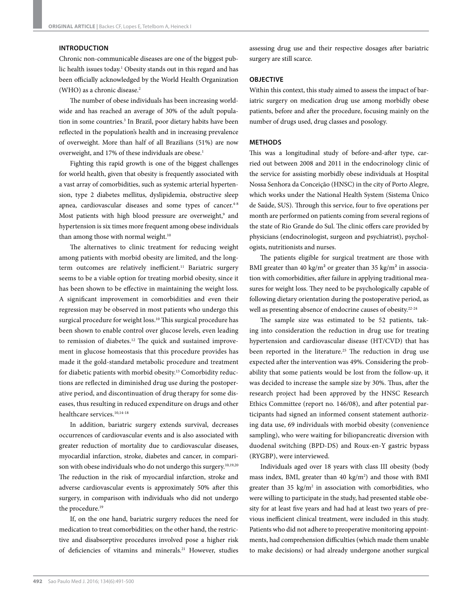#### **INTRODUCTION**

Chronic non-communicable diseases are one of the biggest public health issues today.<sup>1</sup> Obesity stands out in this regard and has been officially acknowledged by the World Health Organization (WHO) as a chronic disease.<sup>2</sup>

The number of obese individuals has been increasing worldwide and has reached an average of 30% of the adult population in some countries.3 In Brazil, poor dietary habits have been reflected in the population's health and in increasing prevalence of overweight. More than half of all Brazilians (51%) are now overweight, and 17% of these individuals are obese.<sup>1</sup>

Fighting this rapid growth is one of the biggest challenges for world health, given that obesity is frequently associated with a vast array of comorbidities, such as systemic arterial hypertension, type 2 diabetes mellitus, dyslipidemia, obstructive sleep apnea, cardiovascular diseases and some types of cancer.<sup>4-8</sup> Most patients with high blood pressure are overweight,<sup>9</sup> and hypertension is six times more frequent among obese individuals than among those with normal weight.<sup>10</sup>

The alternatives to clinic treatment for reducing weight among patients with morbid obesity are limited, and the longterm outcomes are relatively inefficient.<sup>11</sup> Bariatric surgery seems to be a viable option for treating morbid obesity, since it has been shown to be effective in maintaining the weight loss. A significant improvement in comorbidities and even their regression may be observed in most patients who undergo this surgical procedure for weight loss.<sup>10</sup> This surgical procedure has been shown to enable control over glucose levels, even leading to remission of diabetes.<sup>12</sup> The quick and sustained improvement in glucose homeostasis that this procedure provides has made it the gold-standard metabolic procedure and treatment for diabetic patients with morbid obesity.13 Comorbidity reductions are reflected in diminished drug use during the postoperative period, and discontinuation of drug therapy for some diseases, thus resulting in reduced expenditure on drugs and other healthcare services.10,14-18

In addition, bariatric surgery extends survival, decreases occurrences of cardiovascular events and is also associated with greater reduction of mortality due to cardiovascular diseases, myocardial infarction, stroke, diabetes and cancer, in comparison with obese individuals who do not undergo this surgery.<sup>10,19,20</sup> The reduction in the risk of myocardial infarction, stroke and adverse cardiovascular events is approximately 50% after this surgery, in comparison with individuals who did not undergo the procedure.<sup>19</sup>

If, on the one hand, bariatric surgery reduces the need for medication to treat comorbidities; on the other hand, the restrictive and disabsorptive procedures involved pose a higher risk of deficiencies of vitamins and minerals.<sup>21</sup> However, studies assessing drug use and their respective dosages after bariatric surgery are still scarce.

# **OBJECTIVE**

Within this context, this study aimed to assess the impact of bariatric surgery on medication drug use among morbidly obese patients, before and after the procedure, focusing mainly on the number of drugs used, drug classes and posology.

#### **METHODS**

This was a longitudinal study of before-and-after type, carried out between 2008 and 2011 in the endocrinology clinic of the service for assisting morbidly obese individuals at Hospital Nossa Senhora da Conceição (HNSC) in the city of Porto Alegre, which works under the National Health System (Sistema Único de Saúde, SUS). Through this service, four to five operations per month are performed on patients coming from several regions of the state of Rio Grande do Sul. The clinic offers care provided by physicians (endocrinologist, surgeon and psychiatrist), psychologists, nutritionists and nurses.

The patients eligible for surgical treatment are those with BMI greater than 40 kg/m<sup>2</sup> or greater than 35 kg/m<sup>2</sup> in association with comorbidities, after failure in applying traditional measures for weight loss. They need to be psychologically capable of following dietary orientation during the postoperative period, as well as presenting absence of endocrine causes of obesity.<sup>22-24</sup>

The sample size was estimated to be 52 patients, taking into consideration the reduction in drug use for treating hypertension and cardiovascular disease (HT/CVD) that has been reported in the literature.<sup>25</sup> The reduction in drug use expected after the intervention was 49%. Considering the probability that some patients would be lost from the follow-up, it was decided to increase the sample size by 30%. Thus, after the research project had been approved by the HNSC Research Ethics Committee (report no. 146/08), and after potential participants had signed an informed consent statement authorizing data use, 69 individuals with morbid obesity (convenience sampling), who were waiting for biliopancreatic diversion with duodenal switching (BPD-DS) and Roux-en-Y gastric bypass (RYGBP), were interviewed.

Individuals aged over 18 years with class III obesity (body mass index, BMI, greater than 40 kg/m<sup>2</sup>) and those with BMI greater than  $35 \text{ kg/m}^2$  in association with comorbidities, who were willing to participate in the study, had presented stable obesity for at least five years and had had at least two years of previous inefficient clinical treatment, were included in this study. Patients who did not adhere to preoperative monitoring appointments, had comprehension difficulties (which made them unable to make decisions) or had already undergone another surgical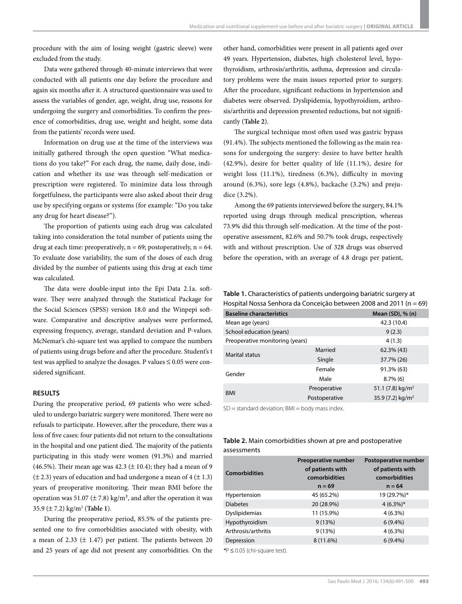procedure with the aim of losing weight (gastric sleeve) were excluded from the study.

Data were gathered through 40-minute interviews that were conducted with all patients one day before the procedure and again six months after it. A structured questionnaire was used to assess the variables of gender, age, weight, drug use, reasons for undergoing the surgery and comorbidities. To confirm the presence of comorbidities, drug use, weight and height, some data from the patients' records were used.

Information on drug use at the time of the interviews was initially gathered through the open question "What medications do you take?" For each drug, the name, daily dose, indication and whether its use was through self-medication or prescription were registered. To minimize data loss through forgetfulness, the participants were also asked about their drug use by specifying organs or systems (for example: "Do you take any drug for heart disease?").

The proportion of patients using each drug was calculated taking into consideration the total number of patients using the drug at each time: preoperatively,  $n = 69$ ; postoperatively,  $n = 64$ . To evaluate dose variability, the sum of the doses of each drug divided by the number of patients using this drug at each time was calculated.

The data were double-input into the Epi Data 2.1a. software. They were analyzed through the Statistical Package for the Social Sciences (SPSS) version 18.0 and the Winpepi software. Comparative and descriptive analyses were performed, expressing frequency, average, standard deviation and P-values. McNemar's chi-square test was applied to compare the numbers of patients using drugs before and after the procedure. Student's t test was applied to analyze the dosages. P values  $\leq 0.05$  were considered significant.

# **RESULTS**

During the preoperative period, 69 patients who were scheduled to undergo bariatric surgery were monitored. There were no refusals to participate. However, after the procedure, there was a loss of five cases: four patients did not return to the consultations in the hospital and one patient died. The majority of the patients participating in this study were women (91.3%) and married (46.5%). Their mean age was 42.3 ( $\pm$  10.4); they had a mean of 9  $(\pm 2.3)$  years of education and had undergone a mean of 4 ( $\pm 1.3$ ) years of preoperative monitoring. Their mean BMI before the operation was 51.07 ( $\pm$  7.8) kg/m<sup>2</sup>, and after the operation it was 35.9 (± 7.2) kg/m2 (**Table 1**).

During the preoperative period, 85.5% of the patients presented one to five comorbidities associated with obesity, with a mean of 2.33 ( $\pm$  1.47) per patient. The patients between 20 and 25 years of age did not present any comorbidities. On the other hand, comorbidities were present in all patients aged over 49 years. Hypertension, diabetes, high cholesterol level, hypothyroidism, arthrosis/arthritis, asthma, depression and circulatory problems were the main issues reported prior to surgery. After the procedure, significant reductions in hypertension and diabetes were observed. Dyslipidemia, hypothyroidism, arthrosis/arthritis and depression presented reductions, but not significantly (**Table 2**).

The surgical technique most often used was gastric bypass (91.4%). The subjects mentioned the following as the main reasons for undergoing the surgery: desire to have better health (42.9%), desire for better quality of life (11.1%), desire for weight loss (11.1%), tiredness (6.3%), difficulty in moving around (6.3%), sore legs (4.8%), backache (3.2%) and prejudice (3.2%).

Among the 69 patients interviewed before the surgery, 84.1% reported using drugs through medical prescription, whereas 73.9% did this through self-medication. At the time of the postoperative assessment, 82.6% and 50.7% took drugs, respectively with and without prescription. Use of 328 drugs was observed before the operation, with an average of 4.8 drugs per patient,

| Table 1. Characteristics of patients undergoing bariatric surgery at |
|----------------------------------------------------------------------|
| Hospital Nossa Senhora da Conceição between 2008 and 2011 (n = 69)   |

| <b>Baseline characteristics</b> |               | Mean (SD), % (n)               |  |
|---------------------------------|---------------|--------------------------------|--|
| Mean age (years)                | 42.3 (10.4)   |                                |  |
| School education (years)        | 9(2.3)        |                                |  |
| Preoperative monitoring (years) |               | 4(1.3)                         |  |
| <b>Marital status</b>           | Married       | $62.3\%$ (43)                  |  |
|                                 | Single        | 37.7% (26)                     |  |
| Gender                          | Female        | 91.3% (63)                     |  |
|                                 | Male          | $8.7\%$ (6)                    |  |
|                                 | Preoperative  | 51.1 $(7.8)$ kg/m <sup>2</sup> |  |
| <b>BMI</b>                      | Postoperative | 35.9 $(7.2)$ kg/m <sup>2</sup> |  |
|                                 |               |                                |  |

 $SD =$  standard deviation;  $BMI =$  body mass index.

# **Table 2.** Main comorbidities shown at pre and postoperative assessments

| <b>Comorbidities</b> | Preoperative number<br>of patients with<br>comorbidities<br>$n = 69$ | Postoperative number<br>of patients with<br>comorbidities<br>$n = 64$ |
|----------------------|----------------------------------------------------------------------|-----------------------------------------------------------------------|
| Hypertension         | 45 (65.2%)                                                           | 19 (29.7%)*                                                           |
| <b>Diabetes</b>      | 20 (28.9%)                                                           | $4(6.3\%)*$                                                           |
| Dyslipidemias        | 11 (15.9%)                                                           | $4(6.3\%)$                                                            |
| Hypothyroidism       | 9(13%)                                                               | $6(9.4\%)$                                                            |
| Arthrosis/arthritis  | 9(13%)                                                               | $4(6.3\%)$                                                            |
| Depression           | 8 (11.6%)                                                            | $6(9.4\%)$                                                            |
|                      |                                                                      |                                                                       |

*\**P ≤ 0.05 (chi-square test).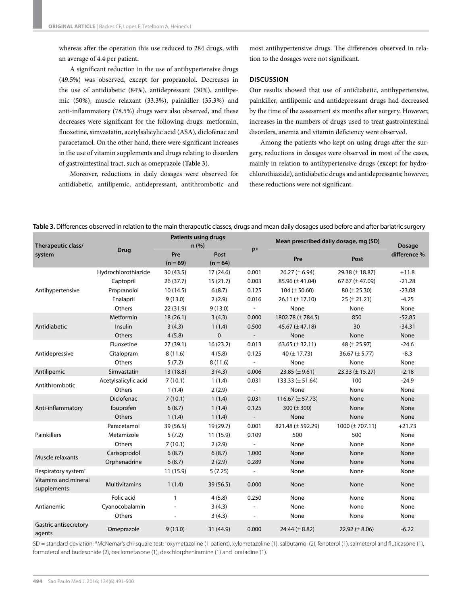whereas after the operation this use reduced to 284 drugs, with an average of 4.4 per patient.

A significant reduction in the use of antihypertensive drugs (49.5%) was observed, except for propranolol. Decreases in the use of antidiabetic (84%), antidepressant (30%), antilipemic (50%), muscle relaxant (33.3%), painkiller (35.3%) and anti-inflammatory (78.5%) drugs were also observed, and these decreases were significant for the following drugs: metformin, fluoxetine, simvastatin, acetylsalicylic acid (ASA), diclofenac and paracetamol. On the other hand, there were significant increases in the use of vitamin supplements and drugs relating to disorders of gastrointestinal tract, such as omeprazole (**Table 3**).

Moreover, reductions in daily dosages were observed for antidiabetic, antilipemic, antidepressant, antithrombotic and most antihypertensive drugs. The differences observed in relation to the dosages were not significant.

#### **DISCUSSION**

Our results showed that use of antidiabetic, antihypertensive, painkiller, antilipemic and antidepressant drugs had decreased by the time of the assessment six months after surgery. However, increases in the numbers of drugs used to treat gastrointestinal disorders, anemia and vitamin deficiency were observed.

Among the patients who kept on using drugs after the surgery, reductions in dosages were observed in most of the cases, mainly in relation to antihypertensive drugs (except for hydrochlorothiazide), antidiabetic drugs and antidepressants; however, these reductions were not significant.

| Table 3. Differences observed in relation to the main therapeutic classes, drugs and mean daily dosages used before and after bariatric surgery |  |  |
|-------------------------------------------------------------------------------------------------------------------------------------------------|--|--|
|                                                                                                                                                 |  |  |

| Therapeutic class/                  | <b>Drug</b>          | <b>Patients using drugs</b><br>n(%) |                    | p*                       | Mean prescribed daily dosage, mg (SD) |                      | Dosage       |
|-------------------------------------|----------------------|-------------------------------------|--------------------|--------------------------|---------------------------------------|----------------------|--------------|
| system                              |                      | Pre<br>$(n = 69)$                   | Post<br>$(n = 64)$ |                          | Pre                                   | Post                 | difference % |
|                                     | Hydrochlorothiazide  | 30(43.5)                            | 17(24.6)           | 0.001                    | 26.27 ( $\pm$ 6.94)                   | 29.38 (± 18.87)      | $+11.8$      |
| Antihypertensive                    | Captopril            | 26(37.7)                            | 15(21.7)           | 0.003                    | 85.96 $(\pm 41.04)$                   | 67.67 ( $\pm$ 47.09) | $-21.28$     |
|                                     | Propranolol          | 10(14.5)                            | 6(8.7)             | 0.125                    | 104 ( $\pm$ 50.60)                    | $80 (\pm 25.30)$     | $-23.08$     |
|                                     | Enalapril            | 9(13.0)                             | 2(2.9)             | 0.016                    | 26.11 ( $\pm$ 17.10)                  | $25 (\pm 21.21)$     | $-4.25$      |
|                                     | Others               | 22 (31.9)                           | 9(13.0)            |                          | None                                  | None                 | None         |
|                                     | Metformin            | 18(26.1)                            | 3(4.3)             | 0.000                    | 1802.78 (± 784.5)                     | 850                  | $-52.85$     |
| Antidiabetic                        | Insulin              | 3(4.3)                              | 1(1.4)             | 0.500                    | 45.67 ( $\pm$ 47.18)                  | 30                   | $-34.31$     |
|                                     | Others               | 4(5.8)                              | $\mathbf 0$        |                          | None                                  | None                 | None         |
|                                     | Fluoxetine           | 27(39.1)                            | 16(23.2)           | 0.013                    | 63.65 ( $\pm$ 32.11)                  | 48 ( $\pm$ 25.97)    | $-24.6$      |
| Antidepressive                      | Citalopram           | 8(11.6)                             | 4(5.8)             | 0.125                    | 40 ( $\pm$ 17.73)                     | 36.67 ( $\pm$ 5.77)  | $-8.3$       |
|                                     | Others               | 5(7.2)                              | 8(11.6)            |                          | None                                  | None                 | None         |
| Antilipemic                         | Simvastatin          | 13 (18.8)                           | 3(4.3)             | 0.006                    | 23.85 ( $\pm$ 9.61)                   | 23.33 ( $\pm$ 15.27) | $-2.18$      |
| Antithrombotic                      | Acetylsalicylic acid | 7(10.1)                             | 1(1.4)             | 0.031                    | 133.33 ( $\pm$ 51.64)                 | 100                  | $-24.9$      |
|                                     | Others               | 1(1.4)                              | 2(2.9)             | $\overline{\phantom{a}}$ | None                                  | None                 | None         |
|                                     | <b>Diclofenac</b>    | 7(10.1)                             | 1(1.4)             | 0.031                    | 116.67 ( $\pm$ 57.73)                 | None                 | None         |
| Anti-inflammatory                   | Ibuprofen            | 6(8.7)                              | 1(1.4)             | 0.125                    | 300 ( $\pm$ 300)                      | None                 | None         |
|                                     | Others               | 1(1.4)                              | 1(1.4)             |                          | None                                  | None                 | None         |
|                                     | Paracetamol          | 39 (56.5)                           | 19 (29.7)          | 0.001                    | 821.48 (± 592.29)                     | 1000 $(\pm 707.11)$  | $+21.73$     |
| Painkillers                         | Metamizole           | 5(7.2)                              | 11(15.9)           | 0.109                    | 500                                   | 500                  | None         |
|                                     | Others               | 7(10.1)                             | 2(2.9)             | $\overline{\phantom{a}}$ | None                                  | None                 | None         |
| Muscle relaxants                    | Carisoprodol         | 6(8.7)                              | 6(8.7)             | 1.000                    | None                                  | None                 | None         |
|                                     | Orphenadrine         | 6(8.7)                              | 2(2.9)             | 0.289                    | None                                  | None                 | None         |
| Respiratory system <sup>+</sup>     |                      | 11 (15.9)                           | 5(7.25)            |                          | None                                  | None                 | None         |
| Vitamins and mineral<br>supplements | <b>Multivitamins</b> | 1(1.4)                              | 39(56.5)           | 0.000                    | None                                  | None                 | None         |
| Antianemic                          | Folic acid           | 1                                   | 4(5.8)             | 0.250                    | None                                  | None                 | None         |
|                                     | Cyanocobalamin       |                                     | 3(4.3)             |                          | None                                  | None                 | None         |
|                                     | Others               |                                     | 3(4.3)             | $\overline{a}$           | None                                  | None                 | None         |
| Gastric antisecretory<br>agents     | Omeprazole           | 9(13.0)                             | 31 (44.9)          | 0.000                    | 24.44 ( $\pm$ 8.82)                   | 22.92 ( $\pm$ 8.06)  | $-6.22$      |

SD = standard deviation; \*McNemar's chi-square test; †oxymetazoline (1 patient), xylometazoline (1), salbutamol (2), fenoterol (1), salmeterol and fluticasone (1), formoterol and budesonide (2), beclometasone (1), dexchlorpheniramine (1) and loratadine (1).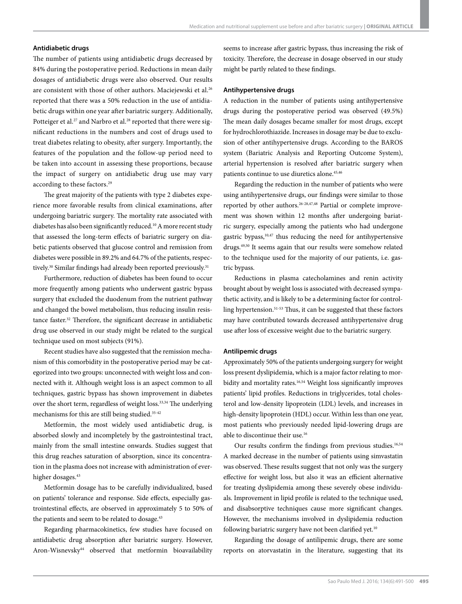# **Antidiabetic drugs**

The number of patients using antidiabetic drugs decreased by 84% during the postoperative period. Reductions in mean daily dosages of antidiabetic drugs were also observed. Our results are consistent with those of other authors. Maciejewski et al.<sup>26</sup> reported that there was a 50% reduction in the use of antidiabetic drugs within one year after bariatric surgery. Additionally, Potteiger et al.<sup>27</sup> and Narbro et al.<sup>28</sup> reported that there were significant reductions in the numbers and cost of drugs used to treat diabetes relating to obesity, after surgery. Importantly, the features of the population and the follow-up period need to be taken into account in assessing these proportions, because the impact of surgery on antidiabetic drug use may vary according to these factors.<sup>29</sup>

The great majority of the patients with type 2 diabetes experience more favorable results from clinical examinations, after undergoing bariatric surgery. The mortality rate associated with diabetes has also been significantly reduced.10 A more recent study that assessed the long-term effects of bariatric surgery on diabetic patients observed that glucose control and remission from diabetes were possible in 89.2% and 64.7% of the patients, respectively.<sup>30</sup> Similar findings had already been reported previously.<sup>31</sup>

Furthermore, reduction of diabetes has been found to occur more frequently among patients who underwent gastric bypass surgery that excluded the duodenum from the nutrient pathway and changed the bowel metabolism, thus reducing insulin resistance faster.32 Therefore, the significant decrease in antidiabetic drug use observed in our study might be related to the surgical technique used on most subjects (91%).

Recent studies have also suggested that the remission mechanism of this comorbidity in the postoperative period may be categorized into two groups: unconnected with weight loss and connected with it. Although weight loss is an aspect common to all techniques, gastric bypass has shown improvement in diabetes over the short term, regardless of weight loss.<sup>33,34</sup> The underlying mechanisms for this are still being studied.<sup>35-42</sup>

Metformin, the most widely used antidiabetic drug, is absorbed slowly and incompletely by the gastrointestinal tract, mainly from the small intestine onwards. Studies suggest that this drug reaches saturation of absorption, since its concentration in the plasma does not increase with administration of everhigher dosages.<sup>43</sup>

Metformin dosage has to be carefully individualized, based on patients' tolerance and response. Side effects, especially gastrointestinal effects, are observed in approximately 5 to 50% of the patients and seem to be related to dosage.<sup>43</sup>

Regarding pharmacokinetics, few studies have focused on antidiabetic drug absorption after bariatric surgery. However, Aron-Wisnevsky44 observed that metformin bioavailability seems to increase after gastric bypass, thus increasing the risk of toxicity. Therefore, the decrease in dosage observed in our study might be partly related to these findings.

## **Antihypertensive drugs**

A reduction in the number of patients using antihypertensive drugs during the postoperative period was observed (49.5%) The mean daily dosages became smaller for most drugs, except for hydrochlorothiazide. Increases in dosage may be due to exclusion of other antihypertensive drugs. According to the BAROS system (Bariatric Analysis and Reporting Outcome System), arterial hypertension is resolved after bariatric surgery when patients continue to use diuretics alone.<sup>45,46</sup>

Regarding the reduction in the number of patients who were using antihypertensive drugs, our findings were similar to those reported by other authors.26-28,47,48 Partial or complete improvement was shown within 12 months after undergoing bariatric surgery, especially among the patients who had undergone gastric bypass,10,47 thus reducing the need for antihypertensive drugs.49,50 It seems again that our results were somehow related to the technique used for the majority of our patients, i.e. gastric bypass.

Reductions in plasma catecholamines and renin activity brought about by weight loss is associated with decreased sympathetic activity, and is likely to be a determining factor for controlling hypertension.51-53 Thus, it can be suggested that these factors may have contributed towards decreased antihypertensive drug use after loss of excessive weight due to the bariatric surgery.

#### **Antilipemic drugs**

Approximately 50% of the patients undergoing surgery for weight loss present dyslipidemia, which is a major factor relating to morbidity and mortality rates.<sup>16,54</sup> Weight loss significantly improves patients' lipid profiles. Reductions in triglycerides, total cholesterol and low-density lipoprotein (LDL) levels, and increases in high-density lipoprotein (HDL) occur. Within less than one year, most patients who previously needed lipid-lowering drugs are able to discontinue their use.16

Our results confirm the findings from previous studies.16,54 A marked decrease in the number of patients using simvastatin was observed. These results suggest that not only was the surgery effective for weight loss, but also it was an efficient alternative for treating dyslipidemia among these severely obese individuals. Improvement in lipid profile is related to the technique used, and disabsorptive techniques cause more significant changes. However, the mechanisms involved in dyslipidemia reduction following bariatric surgery have not been clarified yet.<sup>10</sup>

Regarding the dosage of antilipemic drugs, there are some reports on atorvastatin in the literature, suggesting that its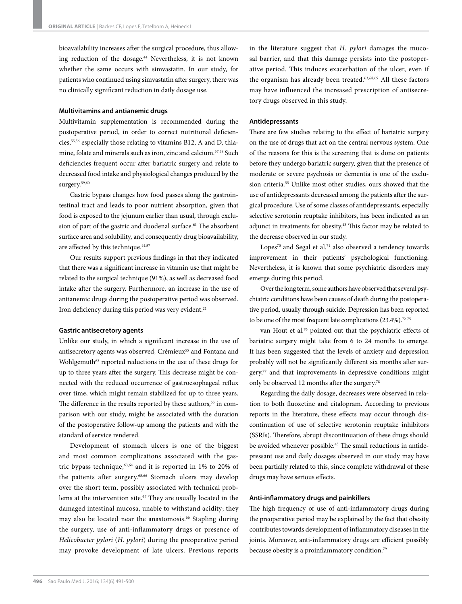bioavailability increases after the surgical procedure, thus allowing reduction of the dosage.<sup>44</sup> Nevertheless, it is not known whether the same occurs with simvastatin. In our study, for patients who continued using simvastatin after surgery, there was no clinically significant reduction in daily dosage use.

# **Multivitamins and antianemic drugs**

Multivitamin supplementation is recommended during the postoperative period, in order to correct nutritional deficiencies,55,56 especially those relating to vitamins B12, A and D, thiamine, folate and minerals such as iron, zinc and calcium.57,58 Such deficiencies frequent occur after bariatric surgery and relate to decreased food intake and physiological changes produced by the surgery.59,60

Gastric bypass changes how food passes along the gastrointestinal tract and leads to poor nutrient absorption, given that food is exposed to the jejunum earlier than usual, through exclusion of part of the gastric and duodenal surface.<sup>61</sup> The absorbent surface area and solubility, and consequently drug bioavailability, are affected by this technique.<sup>44,57</sup>

Our results support previous findings in that they indicated that there was a significant increase in vitamin use that might be related to the surgical technique (91%), as well as decreased food intake after the surgery. Furthermore, an increase in the use of antianemic drugs during the postoperative period was observed. Iron deficiency during this period was very evident.<sup>21</sup>

#### **Gastric antisecretory agents**

Unlike our study, in which a significant increase in the use of antisecretory agents was observed, Crémieux<sup>55</sup> and Fontana and Wohlgemuth<sup>62</sup> reported reductions in the use of these drugs for up to three years after the surgery. This decrease might be connected with the reduced occurrence of gastroesophageal reflux over time, which might remain stabilized for up to three years. The difference in the results reported by these authors,<sup>55</sup> in comparison with our study, might be associated with the duration of the postoperative follow-up among the patients and with the standard of service rendered.

Development of stomach ulcers is one of the biggest and most common complications associated with the gastric bypass technique, $63,64$  and it is reported in 1% to 20% of the patients after surgery.65,66 Stomach ulcers may develop over the short term, possibly associated with technical problems at the intervention site.<sup>67</sup> They are usually located in the damaged intestinal mucosa, unable to withstand acidity; they may also be located near the anastomosis.<sup>66</sup> Stapling during the surgery, use of anti-inflammatory drugs or presence of *Helicobacter pylori* (*H. pylori*) during the preoperative period may provoke development of late ulcers. Previous reports

in the literature suggest that *H. pylori* damages the mucosal barrier, and that this damage persists into the postoperative period. This induces exacerbation of the ulcer, even if the organism has already been treated.63,68,69 All these factors may have influenced the increased prescription of antisecretory drugs observed in this study.

# **Antidepressants**

There are few studies relating to the effect of bariatric surgery on the use of drugs that act on the central nervous system. One of the reasons for this is the screening that is done on patients before they undergo bariatric surgery, given that the presence of moderate or severe psychosis or dementia is one of the exclusion criteria.55 Unlike most other studies, ours showed that the use of antidepressants decreased among the patients after the surgical procedure. Use of some classes of antidepressants, especially selective serotonin reuptake inhibitors, has been indicated as an adjunct in treatments for obesity.43 This factor may be related to the decrease observed in our study.

Lopes<sup>70</sup> and Segal et al.<sup>71</sup> also observed a tendency towards improvement in their patients' psychological functioning. Nevertheless, it is known that some psychiatric disorders may emerge during this period.

Over the long term, some authors have observed that several psychiatric conditions have been causes of death during the postoperative period, usually through suicide. Depression has been reported to be one of the most frequent late complications (23.4%).<sup>72-75</sup>

van Hout et al.<sup>76</sup> pointed out that the psychiatric effects of bariatric surgery might take from 6 to 24 months to emerge. It has been suggested that the levels of anxiety and depression probably will not be significantly different six months after sur $gery<sub>77</sub>$  and that improvements in depressive conditions might only be observed 12 months after the surgery.78

Regarding the daily dosage, decreases were observed in relation to both fluoxetine and citalopram. According to previous reports in the literature, these effects may occur through discontinuation of use of selective serotonin reuptake inhibitors (SSRIs). Therefore, abrupt discontinuation of these drugs should be avoided whenever possible.<sup>43</sup> The small reductions in antidepressant use and daily dosages observed in our study may have been partially related to this, since complete withdrawal of these drugs may have serious effects.

# **Anti-inflammatory drugs and painkillers**

The high frequency of use of anti-inflammatory drugs during the preoperative period may be explained by the fact that obesity contributes towards development of inflammatory diseases in the joints. Moreover, anti-inflammatory drugs are efficient possibly because obesity is a proinflammatory condition.<sup>79</sup>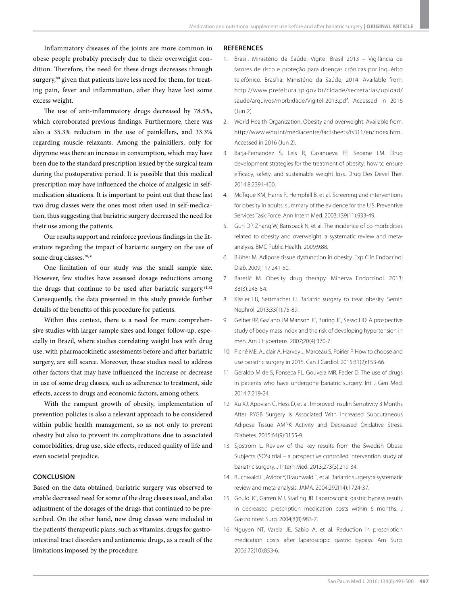# Inflammatory diseases of the joints are more common in obese people probably precisely due to their overweight condition. Therefore, the need for these drugs decreases through surgery,<sup>80</sup> given that patients have less need for them, for treating pain, fever and inflammation, after they have lost some excess weight.

The use of anti-inflammatory drugs decreased by 78.5%, which corroborated previous findings. Furthermore, there was also a 35.3% reduction in the use of painkillers, and 33.3% regarding muscle relaxants. Among the painkillers, only for dipyrone was there an increase in consumption, which may have been due to the standard prescription issued by the surgical team during the postoperative period. It is possible that this medical prescription may have influenced the choice of analgesic in selfmedication situations. It is important to point out that these last two drug classes were the ones most often used in self-medication, thus suggesting that bariatric surgery decreased the need for their use among the patients.

Our results support and reinforce previous findings in the literature regarding the impact of bariatric surgery on the use of some drug classes.<sup>28,31</sup>

One limitation of our study was the small sample size. However, few studies have assessed dosage reductions among the drugs that continue to be used after bariatric surgery.<sup>81,82</sup> Consequently, the data presented in this study provide further details of the benefits of this procedure for patients.

Within this context, there is a need for more comprehensive studies with larger sample sizes and longer follow-up, especially in Brazil, where studies correlating weight loss with drug use, with pharmacokinetic assessments before and after bariatric surgery, are still scarce. Moreover, these studies need to address other factors that may have influenced the increase or decrease in use of some drug classes, such as adherence to treatment, side effects, access to drugs and economic factors, among others.

With the rampant growth of obesity, implementation of prevention policies is also a relevant approach to be considered within public health management, so as not only to prevent obesity but also to prevent its complications due to associated comorbidities, drug use, side effects, reduced quality of life and even societal prejudice.

# **CONCLUSION**

Based on the data obtained, bariatric surgery was observed to enable decreased need for some of the drug classes used, and also adjustment of the dosages of the drugs that continued to be prescribed. On the other hand, new drug classes were included in the patients' therapeutic plans, such as vitamins, drugs for gastrointestinal tract disorders and antianemic drugs, as a result of the limitations imposed by the procedure.

#### **REFERENCES**

- 1. Brasil. Ministério da Saúde. Vigitel Brasil 2013 Vigilância de fatores de risco e proteção para doenças crônicas por inquérito telefônico. Brasília: Ministério da Saúde; 2014. Available from: http://www.prefeitura.sp.gov.br/cidade/secretarias/upload/ saude/arquivos/morbidade/Vigitel-2013.pdf. Accessed in 2016 (Jun 2).
- 2. World Health Organization. Obesity and overweight. Available from: http://www.who.int/mediacentre/factsheets/fs311/en/index.html. Accessed in 2016 (Jun 2).
- 3. Barja-Fernandez S, Leis R, Casanueva FF, Seoane LM. Drug development strategies for the treatment of obesity: how to ensure efficacy, safety, and sustainable weight loss. Drug Des Devel Ther. 2014;8:2391-400.
- 4. McTigue KM, Harris R, Hemphill B, et al. Screening and interventions for obesity in adults: summary of the evidence for the U.S. Preventive Services Task Force. Ann Intern Med. 2003;139(11):933-49.
- 5. Guh DP, Zhang W, Bansback N, et al. The incidence of co-morbidities related to obesity and overweight: a systematic review and metaanalysis. BMC Public Health. 2009;9:88.
- 6. Blüher M. Adipose tissue dysfunction in obesity. Exp Clin Endocrinol Diab. 2009;117:241-50.
- 7. Baretić M. Obesity drug therapy. Minerva Endocrinol. 2013; 38(3):245-54.
- 8. Kissler HJ, Settmacher U. Bariatric surgery to treat obesity. Semin Nephrol. 2013;33(1):75-89.
- 9. Gelber RP, Gaziano JM Manson JE, Buring JE, Sesso HD. A prospective study of body mass index and the risk of developing hypertension in men. Am J Hypertens. 2007;20(4):370-7.
- 10. Piché ME, Auclair A, Harvey J, Marceau S, Poirier P. How to choose and use bariatric surgery in 2015. Can J Cardiol. 2015;31(2):153-66.
- 11. Geraldo M de S, Fonseca FL, Gouveia MR, Feder D. The use of drugs in patients who have undergone bariatric surgery. Int J Gen Med. 2014;7:219-24.
- 12. Xu XJ, Apovian C, Hess D, et al. Improved Insulin Sensitivity 3 Months After RYGB Surgery is Associated With Increased Subcutaneous Adipose Tissue AMPK Activity and Decreased Oxidative Stress. Diabetes. 2015;64(9):3155-9.
- 13. Sjöström L. Review of the key results from the Swedish Obese Subjects (SOS) trial – a prospective controlled intervention study of bariatric surgery. J Intern Med. 2013;273(3):219-34.
- 14. Buchwald H, Avidor Y, Braunwald E, et al. Bariatric surgery: a systematic review and meta-analysis. JAMA. 2004;292(14):1724-37.
- 15. Gould JC, Garren MJ, Starling JR. Laparoscopic gastric bypass results in decreased prescription medication costs within 6 months. J Gastrointest Surg. 2004;8(8):983-7.
- 16. Nguyen NT, Varela JE, Sabio A, et al. Reduction in prescription medication costs after laparoscopic gastric bypass. Am Surg. 2006;72(10):853-6.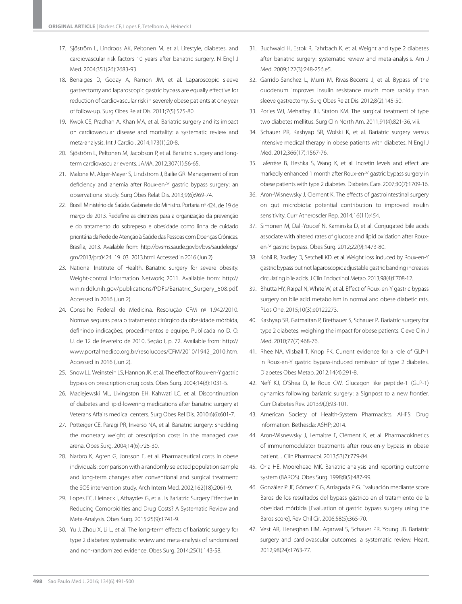- 17. Sjöström L, Lindroos AK, Peltonen M, et al. Lifestyle, diabetes, and cardiovascular risk factors 10 years after bariatric surgery. N Engl J Med. 2004;351(26):2683-93.
- 18. Benaiges D, Goday A, Ramon JM, et al. Laparoscopic sleeve gastrectomy and laparoscopic gastric bypass are equally effective for reduction of cardiovascular risk in severely obese patients at one year of follow-up. Surg Obes Relat Dis. 2011;7(5):575-80.
- 19. Kwok CS, Pradhan A, Khan MA, et al*.* Bariatric surgery and its impact on cardiovascular disease and mortality: a systematic review and meta-analysis. Int J Cardiol. 2014;173(1):20-8.
- 20. Sjöström L, Peltonen M, Jacobson P, et al. Bariatric surgery and longterm cardiovascular events. JAMA. 2012;307(1):56-65.
- 21. Malone M, Alger-Mayer S, Lindstrom J, Bailie GR. Management of iron deficiency and anemia after Roux-en-Y gastric bypass surgery: an observational study. Surg Obes Relat Dis. 2013;9(6):969-74.
- 22. Brasil. Ministério da Saúde. Gabinete do Ministro. Portaria nº 424, de 19 de março de 2013. Redefine as diretrizes para a organização da prevenção e do tratamento do sobrepeso e obesidade como linha de cuidado prioritária da Rede de Atenção à Saúde das Pessoas com Doenças Crônicas. Brasília, 2013. Available from: http://bvsms.saude.gov.br/bvs/saudelegis/ gm/2013/prt0424\_19\_03\_2013.html. Accessed in 2016 (Jun 2).
- 23. National Institute of Health. Bariatric surgery for severe obesity. Weight-control Information Network; 2011. Available from: http:// win.niddk.nih.gov/publications/PDFs/Bariatric\_Surgery\_508.pdf. Accessed in 2016 (Jun 2).
- 24. Conselho Federal de Medicina. Resolução CFM nº 1.942/2010. Normas seguras para o tratamento cirúrgico da obesidade mórbida, definindo indicações, procedimentos e equipe. Publicada no D. O. U. de 12 de fevereiro de 2010, Seção I, p. 72. Available from: http:// www.portalmedico.org.br/resolucoes/CFM/2010/1942\_2010.htm. Accessed in 2016 (Jun 2).
- 25. Snow LL, Weinstein LS, Hannon JK, et al. The effect of Roux-en-Y gastric bypass on prescription drug costs. Obes Surg. 2004;14(8):1031-5.
- 26. Maciejewski ML, Livingston EH, Kahwati LC, et al. Discontinuation of diabetes and lipid-lowering medications after bariatric surgery at Veterans Affairs medical centers. Surg Obes Rel Dis. 2010;6(6):601-7.
- 27. Potteiger CE, Paragi PR, Inverso NA, et al. Bariatric surgery: shedding the monetary weight of prescription costs in the managed care arena. Obes Surg. 2004;14(6):725-30.
- 28. Narbro K, Agren G, Jonsson E, et al. Pharmaceutical costs in obese individuals: comparison with a randomly selected population sample and long-term changes after conventional and surgical treatment: the SOS intervention study. Arch Intern Med. 2002;162(18):2061-9.
- 29. Lopes EC, Heineck I, Athaydes G, et al. Is Bariatric Surgery Effective in Reducing Comorbidities and Drug Costs? A Systematic Review and Meta-Analysis. Obes Surg. 2015;25(9):1741-9.
- 30. Yu J, Zhou X, Li L, et al. The long-term effects of bariatric surgery for type 2 diabetes: systematic review and meta-analysis of randomized and non-randomized evidence. Obes Surg. 2014;25(1):143-58.
- 31. Buchwald H, Estok R, Fahrbach K, et al. Weight and type 2 diabetes after bariatric surgery: systematic review and meta-analysis. Am J Med. 2009;122(3):248-256.e5.
- 32. Garrido-Sanchez L, Murri M, Rivas-Becerra J, et al. Bypass of the duodenum improves insulin resistance much more rapidly than sleeve gastrectomy. Surg Obes Relat Dis. 2012;8(2):145-50.
- 33. Pories WJ, Mehaffey JH, Staton KM. The surgical treatment of type two diabetes mellitus. Surg Clin North Am. 2011;91(4):821-36, viii.
- 34. Schauer PR, Kashyap SR, Wolski K, et al. Bariatric surgery versus intensive medical therapy in obese patients with diabetes. N Engl J Med. 2012;366(17):1567-76.
- 35. Laferrère B, Heshka S, Wang K, et al. Incretin levels and effect are markedly enhanced 1 month after Roux-en-Y gastric bypass surgery in obese patients with type 2 diabetes. Diabetes Care. 2007;30(7):1709-16.
- 36. Aron-Wisnewsky J, Clement K. The effects of gastrointestinal surgery on gut microbiota: potential contribution to improved insulin sensitivity. Curr Atheroscler Rep. 2014;16(11):454.
- 37. Simonen M, Dali-Youcef N, Kaminska D, et al. Conjugated bile acids associate with altered rates of glucose and lipid oxidation after Rouxen-Y gastric bypass. Obes Surg. 2012;22(9):1473-80.
- 38. Kohli R, Bradley D, Setchell KD, et al. Weight loss induced by Roux-en-Y gastric bypass but not laparoscopic adjustable gastric banding increases circulating bile acids. J Clin Endocrinol Metab. 2013;98(4):E708-12.
- 39. Bhutta HY, Raipal N, White W, et al. Effect of Roux-en-Y gastric bypass surgery on bile acid metabolism in normal and obese diabetic rats. PLos One. 2015;10(3):e0122273.
- 40. Kashyap SR, Gatmaitan P, Brethauer S, Schauer P*.* Bariatric surgery for type 2 diabetes: weighing the impact for obese patients. Cleve Clin J Med. 2010;77(7):468-76.
- 41. Rhee NA, Vilsbøll T, Knop FK. Current evidence for a role of GLP-1 in Roux-en-Y gastric bypass-induced remission of type 2 diabetes. Diabetes Obes Metab. 2012;14(4):291-8.
- 42. Neff KJ, O'Shea D, Ie Roux CW. Glucagon like peptide-1 (GLP-1) dynamics following bariatric surgery: a Signpost to a new frontier. Curr Diabetes Rev. 2013;9(2):93-101.
- 43. American Society of Health-System Pharmacists. AHFS: Drug information. Bethesda: ASHP; 2014.
- 44. Aron-Wisnewsky J, Lemaitre F, Clément K, et al. Pharmacokinetics of immunomodulator treatments after roux-en-y bypass in obese patient. J Clin Pharmacol. 2013;53(7):779-84.
- 45. Oria HE, Moorehead MK. Bariatric analysis and reporting outcome system (BAROS). Obes Surg. 1998;8(5):487-99.
- 46. González P JF, Gómez C G, Arriagada P G. Evaluación mediante score Baros de los resultados del bypass gástrico en el tratamiento de la obesidad mórbida [Evaluation of gastric bypass surgery using the Baros score]. Rev Chil Cir. 2006;58(5):365-70.
- 47. Vest AR, Heneghan HM, Agarwal S, Schauer PR, Young JB. Bariatric surgery and cardiovascular outcomes: a systematic review. Heart. 2012;98(24):1763-77.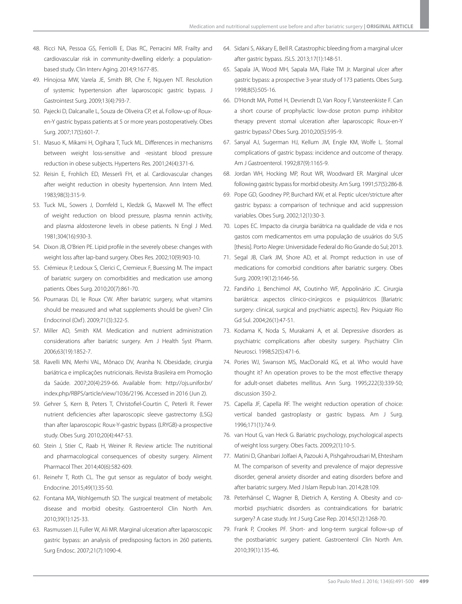- 48. Ricci NA, Pessoa GS, Ferriolli E, Dias RC, Perracini MR. Frailty and cardiovascular risk in community-dwelling elderly: a populationbased study. Clin Interv Aging. 2014;9:1677-85.
- 49. Hinojosa MW, Varela JE, Smith BR, Che F, Nguyen NT. Resolution of systemic hypertension after laparoscopic gastric bypass. J Gastrointest Surg. 2009;13(4):793-7.
- 50. Pajecki D, Dalcanalle L, Souza de Oliveira CP, et al*.* Follow-up of Rouxen-Y gastric bypass patients at 5 or more years postoperatively. Obes Surg. 2007;17(5):601-7.
- 51. Masuo K, Mikami H, Ogihara T, Tuck ML. Differences in mechanisms between weight loss-sensitive and -resistant blood pressure reduction in obese subjects. Hypertens Res. 2001;24(4):371-6.
- 52. Reisin E, Frohlich ED, Messerli FH, et al. Cardiovascular changes after weight reduction in obesity hypertension. Ann Intern Med. 1983;98(3):315-9.
- 53. Tuck ML, Sowers J, Dornfeld L, Kledzik G, Maxwell M. The effect of weight reduction on blood pressure, plasma rennin activity, and plasma aldosterone levels in obese patients. N Engl J Med. 1981;304(16):930-3.
- 54. Dixon JB, O'Brien PE. Lipid profile in the severely obese: changes with weight loss after lap-band surgery. Obes Res. 2002;10(9):903-10.
- 55. Crémieux P, Ledoux S, Clerici C, Cremieux F, Buessing M. The impact of bariatric surgery on comorbidities and medication use among patients. Obes Surg. 2010;20(7):861-70.
- 56. Pournaras DJ, Ie Roux CW. After bariatric surgery, what vitamins should be measured and what supplements should be given? Clin Endocrinol (Oxf ). 2009;71(3):322-5.
- 57. Miller AD, Smith KM. Medication and nutrient administration considerations after bariatric surgery. Am J Health Syst Pharm. 2006;63(19):1852-7.
- 58. Ravelli MN, Merhi VAL, Mônaco DV, Aranha N. Obesidade, cirurgia bariátrica e implicações nutricionais. Revista Brasileira em Promoção da Saúde. 2007;20(4):259-66. Available from: http://ojs.unifor.br/ index.php/RBPS/article/view/1036/2196. Accessed in 2016 (Jun 2).
- 59. Gehrer S, Kern B, Peters T, Christofiel-Courtin C, Peterli R. Fewer nutrient deficiencies after laparoscopic sleeve gastrectomy (LSG) than after laparoscopic Roux-Y-gastric bypass (LRYGB)-a prospective study. Obes Surg. 2010;20(4):447-53.
- 60. Stein J, Stier C, Raab H, Weiner R. Review article: The nutritional and pharmacological consequences of obesity surgery. Aliment Pharmacol Ther. 2014;40(6):582-609.
- 61. Reinehr T, Roth CL. The gut sensor as regulator of body weight. Endocrine. 2015;49(1):35-50.
- 62. Fontana MA, Wohlgemuth SD. The surgical treatment of metabolic disease and morbid obesity. Gastroenterol Clin North Am. 2010;39(1):125-33.
- 63. Rasmussen JJ, Fuller W, Ali MR. Marginal ulceration after laparoscopic gastric bypass: an analysis of predisposing factors in 260 patients. Surg Endosc. 2007;21(7):1090-4.
- 64. Sidani S, Akkary E, Bell R. Catastrophic bleeding from a marginal ulcer after gastric bypass. JSLS. 2013;17(1):148-51.
- 65. Sapala JA, Wood MH, Sapala MA, Flake TM Jr. Marginal ulcer after gastric bypass: a prospective 3-year study of 173 patients. Obes Surg. 1998;8(5):505-16.
- 66. D'Hondt MA, Pottel H, Devriendt D, Van Rooy F, Vansteenkiste F. Can a short course of prophylactic low-dose proton pump inhibitor therapy prevent stomal ulceration after laparoscopic Roux-en-Y gastric bypass? Obes Surg. 2010;20(5):595-9.
- 67. Sanyal AJ, Sugerman HJ, Kellum JM, Engle KM, Wolfe L. Stomal complications of gastric bypass: incidence and outcome of therapy. Am J Gastroenterol. 1992;87(9):1165-9.
- 68. Jordan WH, Hocking MP, Rout WR, Woodward ER. Marginal ulcer following gastric bypass for morbid obesity. Am Surg. 1991;57(5):286-8.
- 69. Pope GD, Goodney PP, Burchard KW, et al. Peptic ulcer/stricture after gastric bypass: a comparison of technique and acid suppression variables. Obes Surg. 2002;12(1):30-3.
- 70. Lopes EC. Impacto da cirurgia bariátrica na qualidade de vida e nos gastos com medicamentos em uma população de usuários do SUS [thesis]. Porto Alegre: Universidade Federal do Rio Grande do Sul; 2013.
- 71. Segal JB, Clark JM, Shore AD, et al. Prompt reduction in use of medications for comorbid conditions after bariatric surgery. Obes Surg. 2009;19(12):1646-56.
- 72. Fandiño J, Benchimol AK, Coutinho WF, Appolinário JC. Cirurgia bariátrica: aspectos clínico-cirúrgicos e psiquiátricos [Bariatric surgery: clinical, surgical and psychiatric aspects]. Rev Psiquiatr Rio Gd Sul. 2004;26(1):47-51.
- 73. Kodama K, Noda S, Murakami A, et al. Depressive disorders as psychiatric complications after obesity surgery. Psychiatry Clin Neurosci. 1998;52(5):471-6.
- 74. Pories WJ, Swanson MS, MacDonald KG, et al. Who would have thought it? An operation proves to be the most effective therapy for adult-onset diabetes mellitus. Ann Surg. 1995;222(3):339-50; discussion 350-2.
- 75. Capella JF, Capella RF. The weight reduction operation of choice: vertical banded gastroplasty or gastric bypass. Am J Surg. 1996;171(1):74-9.
- 76. van Hout G, van Heck G. Bariatric psychology, psychological aspects of weight loss surgery. Obes Facts. 2009;2(1):10-5.
- 77. Matini D, Ghanbari Jolfaei A, Pazouki A, Pishgahroudsari M, Ehtesham M. The comparison of severity and prevalence of major depressive disorder, general anxiety disorder and eating disorders before and after bariatric surgery. Med J Islam Repub Iran. 2014;28:109.
- 78. Peterhänsel C, Wagner B, Dietrich A, Kersting A. Obesity and comorbid psychiatric disorders as contraindications for bariatric surgery? A case study. Int J Surg Case Rep. 2014;5(12):1268-70.
- 79. Frank P, Crookes PF. Short- and long-term surgical follow-up of the postbariatric surgery patient. Gastroenterol Clin North Am. 2010;39(1):135-46.